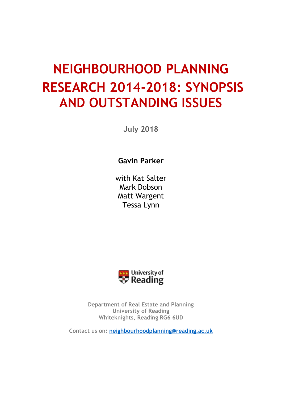# **NEIGHBOURHOOD PLANNING RESEARCH 2014-2018: SYNOPSIS AND OUTSTANDING ISSUES**

**July 2018** 

**Gavin Parker**

with Kat Salter Mark Dobson Matt Wargent Tessa Lynn



**Department of Real Estate and Planning University of Reading Whiteknights, Reading RG6 6UD**

**Contact us on: [neighbourhoodplanning@reading.ac.uk](mailto:neighbourhoodplanning@reading.ac.uk)**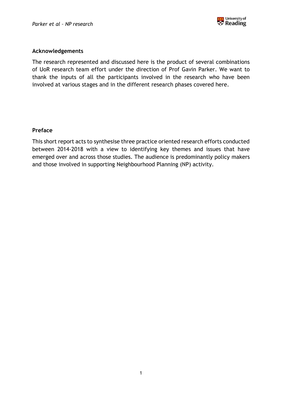

#### **Acknowledgements**

The research represented and discussed here is the product of several combinations of UoR research team effort under the direction of Prof Gavin Parker. We want to thank the inputs of all the participants involved in the research who have been involved at various stages and in the different research phases covered here.

#### **Preface**

This short report acts to synthesise three practice oriented research efforts conducted between 2014-2018 with a view to identifying key themes and issues that have emerged over and across those studies. The audience is predominantly policy makers and those involved in supporting Neighbourhood Planning (NP) activity.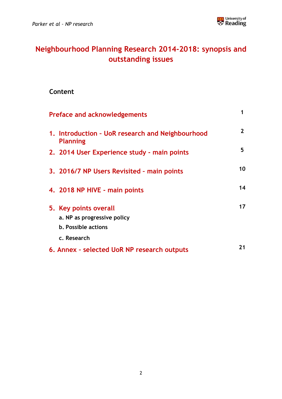

## **Neighbourhood Planning Research 2014-2018: synopsis and outstanding issues**

## **Content**

| <b>Preface and acknowledgements</b>                                                               | 1              |
|---------------------------------------------------------------------------------------------------|----------------|
| 1. Introduction - UoR research and Neighbourhood<br><b>Planning</b>                               | $\overline{2}$ |
| 2. 2014 User Experience study - main points                                                       | 5              |
| 3. 2016/7 NP Users Revisited - main points                                                        | 10             |
| 4. 2018 NP HIVE - main points                                                                     | 14             |
| 5. Key points overall<br>a. NP as progressive policy<br><b>b. Possible actions</b><br>c. Research | 17             |
| 6. Annex - selected UoR NP research outputs                                                       | 21             |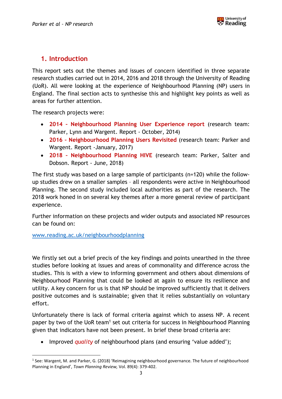## **1. Introduction**

This report sets out the themes and issues of concern identified in three separate research studies carried out in 2014, 2016 and 2018 through the University of Reading (UoR). All were looking at the experience of Neighbourhood Planning (NP) users in England. The final section acts to synthesise this and highlight key points as well as areas for further attention.

The research projects were:

- **2014 – Neighbourhood Planning User Experience report** (research team: Parker, Lynn and Wargent. Report - October, 2014)
- **2016 – Neighbourhood Planning Users Revisited** (research team: Parker and Wargent. Report -January, 2017)
- **2018 – Neighbourhood Planning HIVE** (research team: Parker, Salter and Dobson. Report - June, 2018)

The first study was based on a large sample of participants (n=120) while the followup studies drew on a smaller samples – all respondents were active in Neighbourhood Planning. The second study included local authorities as part of the research. The 2018 work honed in on several key themes after a more general review of participant experience.

Further information on these projects and wider outputs and associated NP resources can be found on:

[www.reading.ac.uk/neighbourhoodplanning](http://www.reading.ac.uk/neighbourhoodplanning) 

 $\overline{\phantom{a}}$ 

We firstly set out a brief precis of the key findings and points unearthed in the three studies before looking at issues and areas of commonality and difference across the studies. This is with a view to informing government and others about dimensions of Neighbourhood Planning that could be looked at again to ensure its resilience and utility. A key concern for us is that NP should be improved sufficiently that it delivers positive outcomes and is sustainable; given that it relies substantially on voluntary effort.

Unfortunately there is lack of formal criteria against which to assess NP. A recent paper by two of the UoR team<sup>1</sup> set out criteria for success in Neighbourhood Planning given that indicators have not been present. In brief these broad criteria are:

Improved *quality* of neighbourhood plans (and ensuring 'value added');

<sup>&</sup>lt;sup>1</sup> See: Wargent, M. and Parker, G. (2018) 'Reimagining neighbourhood governance. The future of neighbourhood Planning in England', *Town Planning Review,* Vol. 89(4): 379-402.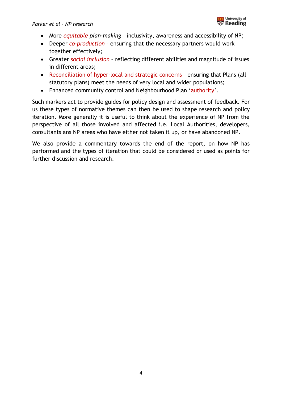

- More *equitable plan-making*  inclusivity, awareness and accessibility of NP;
- Deeper *co-production* ensuring that the necessary partners would work together effectively;
- Greater *social inclusion* reflecting different abilities and magnitude of issues in different areas;
- Reconciliation of hyper-local and strategic concerns ensuring that Plans (all statutory plans) meet the needs of very local and wider populations;
- Enhanced community control and Neighbourhood Plan 'authority'.

Such markers act to provide guides for policy design and assessment of feedback. For us these types of normative themes can then be used to shape research and policy iteration. More generally it is useful to think about the experience of NP from the perspective of all those involved and affected i.e. Local Authorities, developers, consultants ans NP areas who have either not taken it up, or have abandoned NP.

We also provide a commentary towards the end of the report, on how NP has performed and the types of iteration that could be considered or used as points for further discussion and research.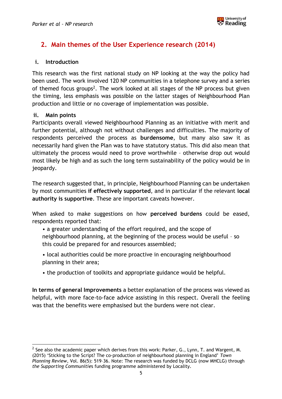

## **2. Main themes of the User Experience research (2014)**

#### **i. Introduction**

This research was the first national study on NP looking at the way the policy had been used. The work involved 120 NP communities in a telephone survey and a series of themed focus groups<sup>2</sup>. The work looked at all stages of the NP process but given the timing, less emphasis was possible on the latter stages of Neighbourhood Plan production and little or no coverage of implementation was possible.

#### **ii. Main points**

Participants overall viewed Neighbourhood Planning as an initiative with merit and further potential, although not without challenges and difficulties. The majority of respondents perceived the process as **burdensome**, but many also saw it as necessarily hard given the Plan was to have statutory status. This did also mean that ultimately the process would need to prove worthwhile – otherwise drop out would most likely be high and as such the long term sustainability of the policy would be in jeopardy.

The research suggested that, in principle, Neighbourhood Planning can be undertaken by most communities **if effectively supported**, and in particular if the relevant **local authority is supportive**. These are important caveats however.

When asked to make suggestions on how **perceived burdens** could be eased, respondents reported that:

- a greater understanding of the effort required, and the scope of neighbourhood planning, at the beginning of the process would be useful – so this could be prepared for and resources assembled;
- local authorities could be more proactive in encouraging neighbourhood planning in their area;
- the production of toolkits and appropriate guidance would be helpful.

**In terms of general Improvements** a better explanation of the process was viewed as helpful, with more face-to-face advice assisting in this respect. Overall the feeling was that the benefits were emphasised but the burdens were not clear.

 $\overline{a}$ <sup>2</sup> See also the academic paper which derives from this work: Parker, G., Lynn, T. and Wargent, M. (2015) 'Sticking to the Script? The co-production of neighbourhood planning in England' *Town Planning Review*, Vol. 86(5): 519–36. Note: The research was funded by DCLG (now MHCLG) through *the Supporting Communitie*s funding programme administered by Locality.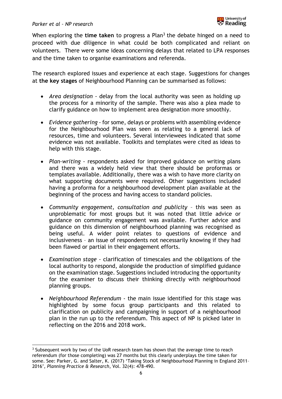When exploring the **time taken** to progress a Plan<sup>3</sup> the debate hinged on a need to proceed with due diligence in what could be both complicated and reliant on volunteers. There were some ideas concerning delays that related to LPA responses and the time taken to organise examinations and referenda.

The research explored issues and experience at each stage. Suggestions for changes at **the key stages** of Neighbourhood Planning can be summarised as follows:

- *Area designation -* delay from the local authority was seen as holding up the process for a minority of the sample. There was also a plea made to clarify guidance on how to implement area designation more smoothly.
- *Evidence gathering* for some, delays or problems with assembling evidence for the Neighbourhood Plan was seen as relating to a general lack of resources, time and volunteers. Several interviewees indicated that some evidence was not available. Toolkits and templates were cited as ideas to help with this stage.
- *Plan-writing* respondents asked for improved guidance on writing plans and there was a widely held view that there should be proformas or templates available. Additionally, there was a wish to have more clarity on what supporting documents were required. Other suggestions included having a proforma for a neighbourhood development plan available at the beginning of the process and having access to standard policies.
- *Community engagement, consultation and publicity* this was seen as unproblematic for most groups but it was noted that little advice or guidance on community engagement was available. Further advice and guidance on this dimension of neighbourhood planning was recognised as being useful. A wider point relates to questions of evidence and inclusiveness – an issue of respondents not necessarily knowing if they had been flawed or partial in their engagement efforts.
- *Examination stage* clarification of timescales and the obligations of the local authority to respond, alongside the production of simplified guidance on the examination stage. Suggestions included introducing the opportunity for the examiner to discuss their thinking directly with neighbourhood planning groups.
- *Neighbourhood Referendum* the main issue identified for this stage was highlighted by some focus group participants and this related to clarification on publicity and campaigning in support of a neighbourhood plan in the run up to the referendum. This aspect of NP is picked later in reflecting on the 2016 and 2018 work.

 $\overline{\phantom{a}}$  $3$  Subsequent work by two of the UoR research team has shown that the average time to reach referendum (for those completing) was 27 months but this clearly underplays the time taken for some. See: Parker, G. and Salter, K. (2017) 'Taking Stock of Neighbourhood Planning in England 2011– 2016', *Planning Practice & Research*, Vol. 32(4): 478-490.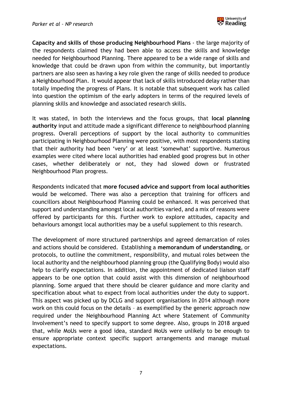

**Capacity and skills of those producing Neighbourhood Plans** - the large majority of the respondents claimed they had been able to access the skills and knowledge needed for Neighbourhood Planning. There appeared to be a wide range of skills and knowledge that could be drawn upon from within the community, but importantly partners are also seen as having a key role given the range of skills needed to produce a Neighbourhood Plan. It would appear that lack of skills introduced delay rather than totally impeding the progress of Plans. It is notable that subsequent work has called into question the optimism of the early adopters in terms of the required levels of planning skills and knowledge and associated research skills.

It was stated, in both the interviews and the focus groups, that **local planning authority** input and attitude made a significant difference to neighbourhood planning progress. Overall perceptions of support by the local authority to communities participating in Neighbourhood Planning were positive, with most respondents stating that their authority had been 'very' or at least 'somewhat' supportive. Numerous examples were cited where local authorities had enabled good progress but in other cases, whether deliberately or not, they had slowed down or frustrated Neighbourhood Plan progress.

Respondents indicated that **more focused advice and support from local authorities** would be welcomed. There was also a perception that training for officers and councillors about Neighbourhood Planning could be enhanced. It was perceived that support and understanding amongst local authorities varied, and a mix of reasons were offered by participants for this. Further work to explore attitudes, capacity and behaviours amongst local authorities may be a useful supplement to this research.

The development of more structured partnerships and agreed demarcation of roles and actions should be considered. Establishing a **memorandum of understanding**, or protocols, to outline the commitment, responsibility, and mutual roles between the local authority and the neighbourhood planning group (the Qualifying Body) would also help to clarify expectations. In addition, the appointment of dedicated liaison staff appears to be one option that could assist with this dimension of neighbourhood planning. Some argued that there should be clearer guidance and more clarity and specification about what to expect from local authorities under the duty to support. This aspect was picked up by DCLG and support organisations in 2014 although more work on this could focus on the details – as exemplified by the generic approach now required under the Neighbourhood Planning Act where Statement of Community Involvement's need to specify support to some degree. Also, groups in 2018 argued that, while MoUs were a good idea, standard MoUs were unlikely to be enough to ensure appropriate context specific support arrangements and manage mutual expectations.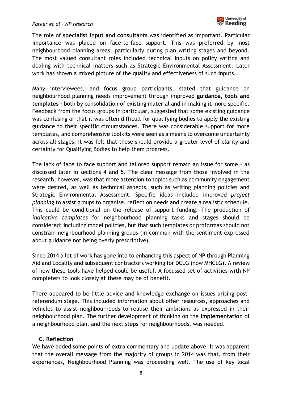The role of **specialist input and consultants** was identified as important. Particular importance was placed on face-to-face support. This was preferred by most neighbourhood planning areas, particularly during plan writing stages and beyond. The most valued consultant roles included technical inputs on policy writing and dealing with technical matters such as Strategic Environmental Assessment. Later work has shown a mixed picture of the quality and effectiveness of such inputs.

Many interviewees, and focus group participants, stated that guidance on neighbourhood planning needs improvement through improved **guidance, tools and templates -** both by consolidation of existing material and in making it more specific. Feedback from the focus groups in particular, suggested that some existing guidance was confusing or that it was often difficult for qualifying bodies to apply the existing guidance to their specific circumstances. There was considerable support for more templates, and comprehensive toolkits were seen as a means to overcome uncertainty across all stages. It was felt that these should provide a greater level of clarity and certainty for Qualifying Bodies to help them progress.

The lack of face to face support and tailored support remain an issue for some – as discussed later in sections 4 and 5. The clear message from those involved in the research, however, was that more attention to topics such as community engagement were desired, as well as technical aspects, such as writing planning policies and Strategic Environmental Assessment. Specific ideas included improved *project planning* to assist groups to organise, reflect on needs and create a realistic schedule. This could be conditional on the release of support funding. The production of *indicative templates* for neighbourhood planning tasks and stages should be considered; including model policies, but that such templates or proformas should not constrain neighbourhood planning groups (in common with the sentiment expressed about guidance not being overly prescriptive).

Since 2014 a lot of work has gone into to enhancing this aspect of NP through Planning Aid and Locality and subsequent contractors working for DCLG (now MHCLG). A review of how these tools have helped could be useful. A focussed set of activities with NP completers to look closely at these may be of benefit.

There appeared to be little advice and knowledge exchange on issues arising postreferendum stage. This included information about other resources, approaches and vehicles to assist neighbourhoods to realise their ambitions as expressed in their neighbourhood plan. The further development of thinking on the **implementation** of a neighbourhood plan, and the next steps for neighbourhoods, was needed.

#### **C. Reflection**

We have added some points of extra commentary and update above. It was apparent that the overall message from the majority of groups in 2014 was that, from their experiences, Neighbourhood Planning was proceeding well. The use of key local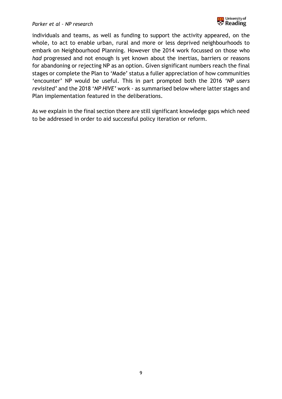

individuals and teams, as well as funding to support the activity appeared, on the whole, to act to enable urban, rural and more or less deprived neighbourhoods to embark on Neighbourhood Planning. However the 2014 work focussed on those who *had* progressed and not enough is yet known about the inertias, barriers or reasons for abandoning or rejecting NP as an option. Given significant numbers reach the final stages or complete the Plan to 'Made' status a fuller appreciation of how communities 'encounter' NP would be useful. This in part prompted both the 2016 *'NP users revisited'* and the 2018 '*NP HIVE'* work - as summarised below where latter stages and Plan implementation featured in the deliberations.

As we explain in the final section there are still significant knowledge gaps which need to be addressed in order to aid successful policy iteration or reform.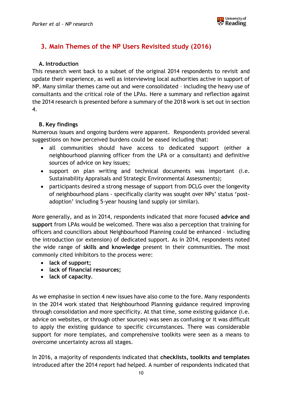

## **3. Main Themes of the NP Users Revisited study (2016)**

#### **A.Introduction**

This research went back to a subset of the original 2014 respondents to revisit and update their experience, as well as interviewing local authorities active in support of NP. Many similar themes came out and were consolidated – including the heavy use of consultants and the critical role of the LPAs. Here a summary and reflection against the 2014 research is presented before a summary of the 2018 work is set out in section 4.

#### **B. Key findings**

Numerous issues and ongoing burdens were apparent. Respondents provided several suggestions on how perceived burdens could be eased including that:

- all communities should have access to dedicated support (either a neighbourhood planning officer from the LPA or a consultant) and definitive sources of advice on key issues;
- support on plan writing and technical documents was important (i.e. Sustainability Appraisals and Strategic Environmental Assessments);
- participants desired a strong message of support from DCLG over the longevity of neighbourhood plans - specifically clarity was sought over NPs' status 'postadoption' including 5-year housing land supply (or similar).

More generally, and as in 2014, respondents indicated that more focused **advice and support** from LPAs would be welcomed. There was also a perception that training for officers and councillors about Neighbourhood Planning could be enhanced - including the introduction (or extension) of dedicated support. As in 2014, respondents noted the wide range of **skills and knowledge** present in their communities. The most commonly cited inhibitors to the process were:

- **lack of support;**
- **lack of financial resources;**
- **lack of capacity**.

As we emphasise in section 4 new issues have also come to the fore. Many respondents in the 2014 work stated that Neighbourhood Planning guidance required improving through consolidation and more specificity. At that time, some existing guidance (i.e. advice on websites, or through other sources) was seen as confusing or it was difficult to apply the existing guidance to specific circumstances. There was considerable support for more templates, and comprehensive toolkits were seen as a means to overcome uncertainty across all stages.

In 2016, a majority of respondents indicated that **checklists, toolkits and templates** introduced after the 2014 report had helped. A number of respondents indicated that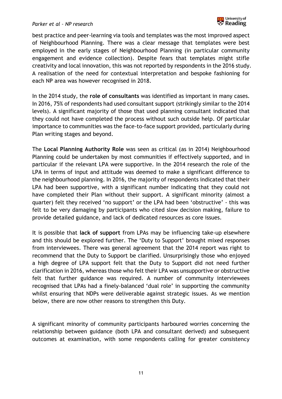#### *Parker et al – NP research*



best practice and peer-learning via tools and templates was the most improved aspect of Neighbourhood Planning. There was a clear message that templates were best employed in the early stages of Neighbourhood Planning (in particular community engagement and evidence collection). Despite fears that templates might stifle creativity and local innovation, this was not reported by respondents in the 2016 study. A realisation of the need for contextual interpretation and bespoke fashioning for each NP area was however recognised in 2018.

In the 2014 study, the **role of consultants** was identified as important in many cases. In 2016, 75% of respondents had used consultant support (strikingly similar to the 2014 levels). A significant majority of those that used planning consultant indicated that they could not have completed the process without such outside help. Of particular importance to communities was the face-to-face support provided, particularly during Plan writing stages and beyond.

The **Local Planning Authority Role** was seen as critical (as in 2014) Neighbourhood Planning could be undertaken by most communities if effectively supported, and in particular if the relevant LPA were supportive. In the 2014 research the role of the LPA in terms of input and attitude was deemed to make a significant difference to the neighbourhood planning. In 2016, the majority of respondents indicated that their LPA had been supportive, with a significant number indicating that they could not have completed their Plan without their support. A significant minority (almost a quarter) felt they received 'no support' or the LPA had been 'obstructive' - this was felt to be very damaging by participants who cited slow decision making, failure to provide detailed guidance, and lack of dedicated resources as core issues.

It is possible that **lack of support** from LPAs may be influencing take-up elsewhere and this should be explored further. The 'Duty to Support' brought mixed responses from interviewees. There was general agreement that the 2014 report was right to recommend that the Duty to Support be clarified. Unsurprisingly those who enjoyed a high degree of LPA support felt that the Duty to Support did not need further clarification in 2016, whereas those who felt their LPA was unsupportive or obstructive felt that further guidance was required. A number of community interviewees recognised that LPAs had a finely-balanced 'dual role' in supporting the community whilst ensuring that NDPs were deliverable against strategic issues. As we mention below, there are now other reasons to strengthen this Duty.

A significant minority of community participants harboured worries concerning the relationship between guidance (both LPA and consultant derived) and subsequent outcomes at examination, with some respondents calling for greater consistency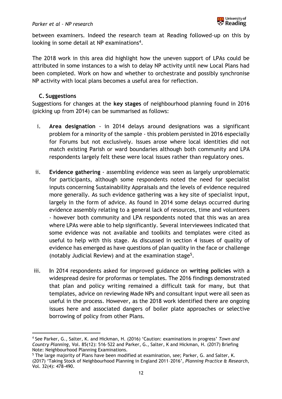

between examiners. Indeed the research team at Reading followed-up on this by looking in some detail at NP examinations<sup>4</sup>.

The 2018 work in this area did highlight how the uneven support of LPAs could be attributed in some instances to a wish to delay NP activity until new Local Plans had been completed. Work on how and whether to orchestrate and possibly synchronise NP activity with local plans becomes a useful area for reflection.

#### **C. Suggestions**

l

Suggestions for changes at the **key stages** of neighbourhood planning found in 2016 (picking up from 2014) can be summarised as follows:

- i. **Area designation** in 2014 delays around designations was a significant problem for a minority of the sample - this problem persisted in 2016 especially for Forums but not exclusively. Issues arose where local identities did not match existing Parish or ward boundaries although both community and LPA respondents largely felt these were local issues rather than regulatory ones.
- ii. **Evidence gathering** assembling evidence was seen as largely unproblematic for participants, although some respondents noted the need for specialist inputs concerning Sustainability Appraisals and the levels of evidence required more generally. As such evidence gathering was a key site of specialist input, largely in the form of advice. As found in 2014 some delays occurred during evidence assembly relating to a general lack of resources, time and volunteers - however both community and LPA respondents noted that this was an area where LPAs were able to help significantly. Several interviewees indicated that some evidence was not available and toolkits and templates were cited as useful to help with this stage. As discussed in section 4 issues of quality of evidence has emerged as have questions of plan quality in the face or challenge (notably Judicial Review) and at the examination stage<sup>5</sup>.
- iii. **I**n 2014 respondents asked for improved guidance on **writing policies** with a widespread desire for proformas or templates. The 2016 findings demonstrated that plan and policy writing remained a difficult task for many, but that templates, advice on reviewing Made NPs and consultant input were all seen as useful in the process. However, as the 2018 work identified there are ongoing issues here and associated dangers of boiler plate approaches or selective borrowing of policy from other Plans.

<sup>4</sup> See Parker, G., Salter, K. and Hickman, H. (2016) 'Caution: examinations in progress' *Town and Country Planning*, Vol. 85(12): 516–522 and Parker, G., Salter, K and Hickman, H. (2017) Briefing Note: Neighbourhood Planning Examinations.

<sup>&</sup>lt;sup>5</sup> The large majority of Plans have been modified at examination, see; Parker, G. and Salter, K. (2017) 'Taking Stock of Neighbourhood Planning in England 2011–2016', *Planning Practice & Research*, Vol. 32(4): 478-490.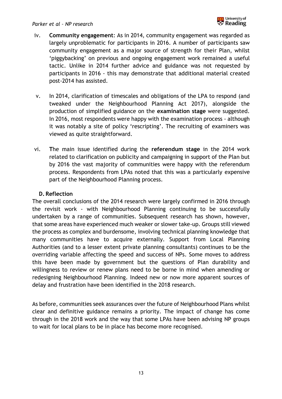

- iv. **Community engagement**: As in 2014, community engagement was regarded as largely unproblematic for participants in 2016. A number of participants saw community engagement as a major source of strength for their Plan, whilst 'piggybacking' on previous and ongoing engagement work remained a useful tactic. Unlike in 2014 further advice and guidance was not requested by participants in 2016 - this may demonstrate that additional material created post-2014 has assisted.
- v. In 2014, clarification of timescales and obligations of the LPA to respond (and tweaked under the Neighbourhood Planning Act 2017), alongside the production of simplified guidance on the **examination stage** were suggested. In 2016, most respondents were happy with the examination process - although it was notably a site of policy 'rescripting'. The recruiting of examiners was viewed as quite straightforward.
- vi. **T**he main issue identified during the **referendum stage** in the 2014 work related to clarification on publicity and campaigning in support of the Plan but by 2016 the vast majority of communities were happy with the referendum process. Respondents from LPAs noted that this was a particularly expensive part of the Neighbourhood Planning process.

#### **D. Reflection**

The overall conclusions of the 2014 research were largely confirmed in 2016 through the revisit work - with Neighbourhood Planning continuing to be successfully undertaken by a range of communities. Subsequent research has shown, however, that some areas have experienced much weaker or slower take-up. Groups still viewed the process as complex and burdensome, involving technical planning knowledge that many communities have to acquire externally. Support from Local Planning Authorities (and to a lesser extent private planning consultants) continues to be the overriding variable affecting the speed and success of NPs. Some moves to address this have been made by government but the questions of Plan durability and willingness to review or renew plans need to be borne in mind when amending or redesigning Neighbourhood Planning. Indeed new or now more apparent sources of delay and frustration have been identified in the 2018 research.

As before, communities seek assurances over the future of Neighbourhood Plans whilst clear and definitive guidance remains a priority. The impact of change has come through in the 2018 work and the way that some LPAs have been advising NP groups to wait for local plans to be in place has become more recognised.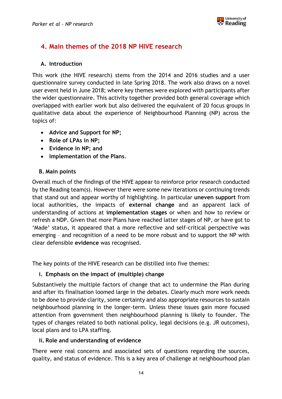

## **4. Main themes of the 2018 NP HIVE research**

#### **A. Introduction**

This work (the HIVE research) stems from the 2014 and 2016 studies and a user questionnaire survey conducted in late Spring 2018. The work also draws on a novel user event held in June 2018; where key themes were explored with participants after the wider questionnaire. This activity together provided both general coverage which overlapped with earlier work but also delivered the equivalent of 20 focus groups in qualitative data about the experience of Neighbourhood Planning (NP) across the topics of:

- **Advice and Support for NP;**
- **Role of LPAs in NP;**
- **Evidence in NP; and**
- **Implementation of the Plans**.

#### **B. Main points**

Overall much of the findings of the HIVE appear to reinforce prior research conducted by the Reading team(s). However there were some new iterations or continuing trends that stand out and appear worthy of highlighting. In particular **uneven support** from local authorities, the impacts of **external change** and an apparent lack of understanding of actions at **implementation stages** or when and how to review or refresh a NDP. Given that more Plans have reached latter stages of NP, or have got to 'Made' status, it appeared that a more reflective and self-critical perspective was emerging – and recognition of a need to be more robust and to support the NP with clear defensible **evidence** was recognised.

The key points of the HIVE research can be distilled into five themes:

#### **i. Emphasis on the impact of (multiple) change**

Substantively the multiple factors of change that act to undermine the Plan during and after its finalisation loomed large in the debates. Clearly much more work needs to be done to provide clarity, some certainty and also appropriate resources to sustain neighbourhood planning in the longer-term. Unless these issues gain more focused attention from government then neighbourhood planning is likely to founder. The types of changes related to both national policy, legal decisions (e.g. JR outcomes), local plans and to LPA staffing.

#### **ii. Role and understanding of evidence**

There were real concerns and associated sets of questions regarding the sources, quality, and status of evidence. This is a key area of challenge at neighbourhood plan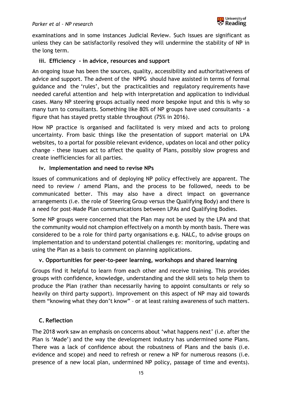

examinations and in some instances Judicial Review. Such issues are significant as unless they can be satisfactorily resolved they will undermine the stability of NP in the long term.

#### **iii. Efficiency - in advice, resources and support**

An ongoing issue has been the sources, quality, accessibility and authoritativeness of advice and support. The advent of the NPPG should have assisted in terms of formal guidance and the 'rules', but the practicalities and regulatory requirements have needed careful attention and help with interpretation and application to individual cases. Many NP steering groups actually need more bespoke input and this is why so many turn to consultants. Something like 80% of NP groups have used consultants - a figure that has stayed pretty stable throughout (75% in 2016).

How NP practice is organised and facilitated is very mixed and acts to prolong uncertainty. From basic things like the presentation of support material on LPA websites, to a portal for possible relevant evidence, updates on local and other policy change - these issues act to affect the quality of Plans, possibly slow progress and create inefficiencies for all parties.

#### **iv. Implementation and need to revise NPs**

Issues of communications and of deploying NP policy effectively are apparent. The need to review / amend Plans, and the process to be followed, needs to be communicated better. This may also have a direct impact on governance arrangements (i.e. the role of Steering Group versus the Qualifying Body) and there is a need for post-Made Plan communications between LPAs and Qualifying Bodies.

Some NP groups were concerned that the Plan may not be used by the LPA and that the community would not champion effectively on a month by month basis. There was considered to be a role for third party organisations e.g. NALC, to advise groups on implementation and to understand potential challenges re: monitoring, updating and using the Plan as a basis to comment on planning applications.

#### **v. Opportunities for peer-to-peer learning, workshops and shared learning**

Groups find it helpful to learn from each other and receive training. This provides groups with confidence, knowledge, understanding and the skill sets to help them to produce the Plan (rather than necessarily having to appoint consultants or rely so heavily on third party support). Improvement on this aspect of NP may aid towards them "knowing what they don't know" – or at least raising awareness of such matters.

#### **C. Reflection**

The 2018 work saw an emphasis on concerns about 'what happens next' (i.e. after the Plan is 'Made') and the way the development industry has undermined some Plans. There was a lack of confidence about the robustness of Plans and the basis (i.e. evidence and scope) and need to refresh or renew a NP for numerous reasons (i.e. presence of a new local plan, undermined NP policy, passage of time and events).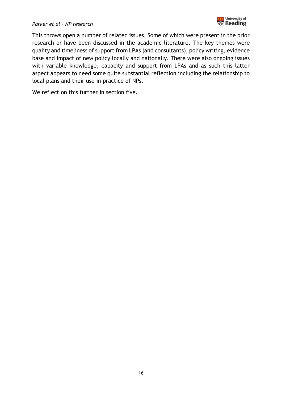

This throws open a number of related issues. Some of which were present in the prior research or have been discussed in the academic literature. The key themes were quality and timeliness of support from LPAs (and consultants), policy writing, evidence base and impact of new policy locally and nationally. There were also ongoing issues with variable knowledge, capacity and support from LPAs and as such this latter aspect appears to need some quite substantial reflection including the relationship to local plans and their use in practice of NPs.

We reflect on this further in section five.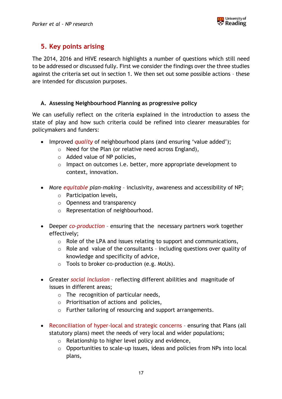

## **5. Key points arising**

The 2014, 2016 and HIVE research highlights a number of questions which still need to be addressed or discussed fully. First we consider the findings over the three studies against the criteria set out in section 1. We then set out some possible actions – these are intended for discussion purposes.

#### **A. Assessing Neighbourhood Planning as progressive policy**

We can usefully reflect on the criteria explained in the introduction to assess the state of play and how such criteria could be refined into clearer measurables for policymakers and funders:

- Improved *quality* of neighbourhood plans (and ensuring 'value added');
	- o Need for the Plan (or relative need across England),
	- o Added value of NP policies,
	- o Impact on outcomes i.e. better, more appropriate development to context, innovation.
- More *equitable plan-making*  inclusivity, awareness and accessibility of NP;
	- o Participation levels,
	- o Openness and transparency
	- o Representation of neighbourhood.
- Deeper *co-production* ensuring that the necessary partners work together effectively;
	- o Role of the LPA and issues relating to support and communications,
	- o Role and value of the consultants including questions over quality of knowledge and specificity of advice,
	- o Tools to broker co-production (e.g. MoUs).
- Greater *social inclusion* reflecting different abilities and magnitude of issues in different areas;
	- $\circ$  The recognition of particular needs,
	- o Prioritisation of actions and policies,
	- o Further tailoring of resourcing and support arrangements.
- Reconciliation of hyper-local and strategic concerns ensuring that Plans (all statutory plans) meet the needs of very local and wider populations;
	- o Relationship to higher level policy and evidence,
	- o Opportunities to scale-up issues, ideas and policies from NPs into local plans,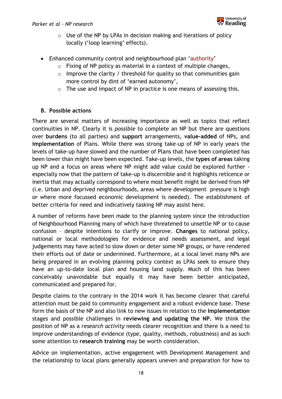#### *Parker et al – NP research*



- $\circ$  Use of the NP by LPAs in decision making and iterations of policy locally ('loop learning' effects).
- Enhanced community control and neighbourhood plan 'authority'
	- o Fixing of NP policy as material in a context of multiple changes,
	- $\circ$  Improve the clarity / threshold for quality so that communities gain more control by dint of 'earned autonomy',
	- o The use and impact of NP in practice is one means of assessing this.

#### **B. Possible actions**

There are several matters of increasing importance as well as topics that reflect continuities in NP. Clearly it is *possible* to complete an NP but there are questions over **burdens** (to all parties) and **support** arrangements, **value-added** of NPs, and **implementation** of Plans. While there was strong take-up of NP in early years the levels of take-up have slowed and the number of Plans that have been completed has been lower than might have been expected. Take-up levels, the **types of areas** taking up NP and a focus on areas where NP might add value could be explored further especially now that the pattern of take-up is discernible and it highlights reticence or inertia that may actually correspond to where most benefit might be derived from NP (i.e. Urban and deprived neighbourhoods, areas where development pressure is high or where more focussed economic development is needed). The establishment of better criteria for need and indicatively tasking NP may assist here.

A number of reforms have been made to the planning system since the introduction of Neighbourhood Planning many of which have threatened to unsettle NP or to cause confusion – despite intentions to clarify or improve. **Changes** to national policy, national or local methodologies for evidence and needs assessment, and legal judgements may have acted to slow down or deter some NP groups, or have rendered their efforts out of date or undermined. Furthermore, at a local level many NPs are being prepared in an evolving planning policy context as LPAs seek to ensure they have an up-to-date local plan and housing land supply. Much of this has been conceivably unavoidable but equally it may have been better anticipated, communicated and prepared for.

Despite claims to the contrary in the 2014 work it has become clearer that careful attention must be paid to community engagement and a robust evidence base. These form the basis of the NP and also link to new issues in relation to the **Implementation** stages and possible challenges in **reviewing and updating the NP.** We think the position of NP as a *research activity* needs clearer recognition and there is a need to improve understandings of evidence (type, quality, methods, robustness) and as such some attention to **research training** may be worth consideration.

Advice on implementation, active engagement with Development Management and the relationship to local plans generally appears uneven and preparation for how to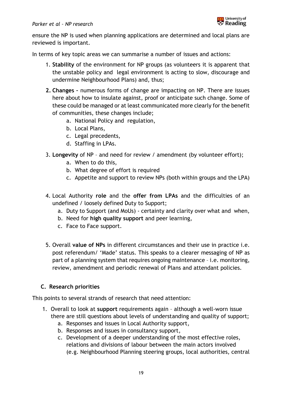#### *Parker et al – NP research*



ensure the NP is used when planning applications are determined and local plans are reviewed is important.

In terms of key topic areas we can summarise a number of issues and actions:

- 1. **Stability** of the environment for NP groups (as volunteers it is apparent that the unstable policy and legal environment is acting to slow, discourage and undermine Neighbourhood Plans) and, thus;
- **2. Changes –** numerous forms of change are impacting on NP. There are issues here about how to insulate against, proof or anticipate such change. Some of these could be managed or at least communicated more clearly for the benefit of communities, these changes include;
	- a. National Policy and regulation,
	- b. Local Plans,
	- c. Legal precedents,
	- d. Staffing in LPAs.
- 3. **Longevity** of NP and need for review / amendment (by volunteer effort);
	- a. When to do this,
	- b. What degree of effort is required
	- c. Appetite and support to review NPs (both within groups and the LPA)
- 4. Local Authority **role** and the **offer from LPAs** and the difficulties of an undefined / loosely defined Duty to Support;
	- a. Duty to Support (and MoUs) certainty and clarity over what and when,
	- b. Need for **high quality support** and peer learning,
	- c. Face to Face support.
- 5. Overall **value of NPs** in different circumstances and their use in practice i.e. post referendum/ 'Made' status. This speaks to a clearer messaging of NP as part of a planning system that requires ongoing maintenance – i.e. monitoring, review, amendment and periodic renewal of Plans and attendant policies.

#### **C. Research priorities**

This points to several strands of research that need attention:

- 1. Overall to look at **support** requirements again although a well-worn issue there are still questions about levels of understanding and quality of support;
	- a. Responses and issues in Local Authority support,
	- b. Responses and issues in consultancy support,
	- c. Development of a deeper understanding of the most effective roles, relations and divisions of labour between the main actors involved (e.g. Neighbourhood Planning steering groups, local authorities, central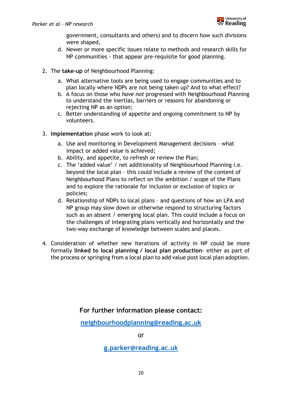

government, consultants and others) and to discern how such divisions were shaped,

- d. Newer or more specific issues relate to methods and research skills for NP communities - that appear pre-requisite for good planning.
- 2. The **take-up** of Neighbourhood Planning:
	- a. What alternative tools are being used to engage communities and to plan locally where NDPs are not being taken up? And to what effect?
	- b. A focus on those who *have not* progressed with Neighbourhood Planning to understand the inertias, barriers or reasons for abandoning or rejecting NP as an option;
	- c. Better understanding of appetite and ongoing commitment to NP by volunteers.
- 3. **Implementation** phase work to look at:
	- a. Use and monitoring in Development Management decisions what impact or added value is achieved;
	- b. Ability, and appetite, to refresh or review the Plan;
	- c. The 'added value' / net additionality of Neighbourhood Planning i.e. beyond the local plan – this could include a review of the content of Neighbourhood Plans to reflect on the ambition / scope of the Plans and to explore the rationale for inclusion or exclusion of topics or policies;
	- d. Relationship of NDPs to local plans and questions of how an LPA and NP group may slow down or otherwise respond to structuring factors such as an absent / emerging local plan. This could include a focus on the challenges of integrating plans vertically and horizontally and the two-way exchange of knowledge between scales and places.
- 4. Consideration of whether new iterations of activity in NP could be more formally **linked to local planning / local plan production**- either as part of the process or springing from a local plan to add value post local plan adoption.

**For further information please contact:**

**[neighbourhoodplanning@reading.ac.uk](mailto:neighbourhoodplanning@reading.ac.uk)**

or

**[g.parker@reading.ac.uk](mailto:g.parker@reading.ac.uk)**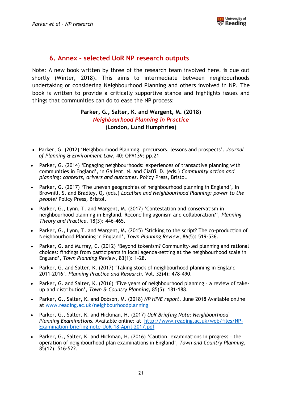

#### **6. Annex – selected UoR NP research outputs**

Note: A new book written by three of the research team involved here, is due out shortly (Winter, 2018). This aims to intermediate between neighbourhoods undertaking or considering Neighbourhood Planning and others involved in NP. The book is written to provide a critically supportive stance and highlights issues and things that communities can do to ease the NP process:

#### **Parker, G., Salter, K. and Wargent, M. (2018)**  *Neighbourhood Planning in Practice* **(London, Lund Humphries)**

- Parker, G. (2012) 'Neighbourhood Planning: precursors, lessons and prospects'. *Journal of Planning & Environment Law*, 40: OP#139: pp.21
- [Parker, G](http://centaur.reading.ac.uk/view/creators/90001717.html). (2014) 'Engaging neighbourhoods: experiences of transactive planning with communities in England', in Gallent, N. and Ciaffi, D. (eds.) *Community action and planning: contexts, drivers and outcomes*. Policy Press, Bristol.
- [Parker, G.](http://centaur.reading.ac.uk/view/creators/90001717.html) (2017) '[The uneven geographies of neighbourhood planning in England](http://centaur.reading.ac.uk/66111/)', in Brownill, S. and Bradley, Q. (eds.) *Localism and Neighbourhood Planning: power to the people?* Policy Press, Bristol.
- [Parker, G.,](http://centaur.reading.ac.uk/view/creators/90001717.html) Lynn, T. and [Wargent, M.](http://centaur.reading.ac.uk/view/creators/90007634.html) (2017) '[Contestation and conservatism in](http://centaur.reading.ac.uk/69484/)  [neighbourhood planning in England. Reconciling agonism and collaboration?](http://centaur.reading.ac.uk/69484/)', *Planning Theory and Practice*, 18(3): 446-465.
- [Parker, G.,](http://centaur.reading.ac.uk/view/creators/90001717.html) Lynn, T. and Wargent, M**.** (2015) '[Sticking to the script? The co-production of](http://centaur.reading.ac.uk/41465/)  [Neighbourhood Planning in England'](http://centaur.reading.ac.uk/41465/), *Town Planning Review*, 86(5): 519-536.
- [Parker, G.](http://centaur.reading.ac.uk/view/creators/90001717.html) and Murray, C. (2012) 'Beyond tokenism? Community-led planning and rational choices: findings from participants in local agenda-setting at the neighbourhood scale in England', *Town Planning Review*, 83(1): 1-28.
- [Parker, G.](http://centaur.reading.ac.uk/view/creators/90001717.html) and Salter, K**.** (2017) '[Taking stock of neighbourhood planning in England](http://centaur.reading.ac.uk/72693/)  [2011-2016](http://centaur.reading.ac.uk/72693/)'. *Planning Practice and Research*. Vol. 32(4): 478-490.
- [Parker, G.](http://centaur.reading.ac.uk/view/creators/90001717.html) and Salter, K**.** (2016) '[Five years of neighbourhood planning](http://centaur.reading.ac.uk/65602/)  a review of take[up and distribution'](http://centaur.reading.ac.uk/65602/), *Town & Country Planning*, 85(5): 181-188.
- Parker, G., Salter, K. and Dobson, M. (2018) *NP HIVE report*. June 2018 Available online at [www.reading.ac.uk/neighbourhoodplanning](http://www.reading.ac.uk/neighbourhoodplanning)
- Parker, G., Salter, K. and Hickman, H. (2017) *UoR Briefing Note: Neighbourhood Planning Examinations.* Available online: at [http://www.reading.ac.uk/web/files/NP-](http://www.reading.ac.uk/web/files/NP-Examination-briefing-note-UoR-18-April-2017.pdf)[Examination-briefing-note-UoR-18-April-2017.pdf](http://www.reading.ac.uk/web/files/NP-Examination-briefing-note-UoR-18-April-2017.pdf)
- [Parker, G.,](http://centaur.reading.ac.uk/view/creators/90001717.html) Salter, K. and Hickman, H. (2016) '[Caution: examinations in progress](http://centaur.reading.ac.uk/70025/)  the [operation of neighbourhood plan examinations in England](http://centaur.reading.ac.uk/70025/)', *Town and Country Planning*, 85(12): 516-522.